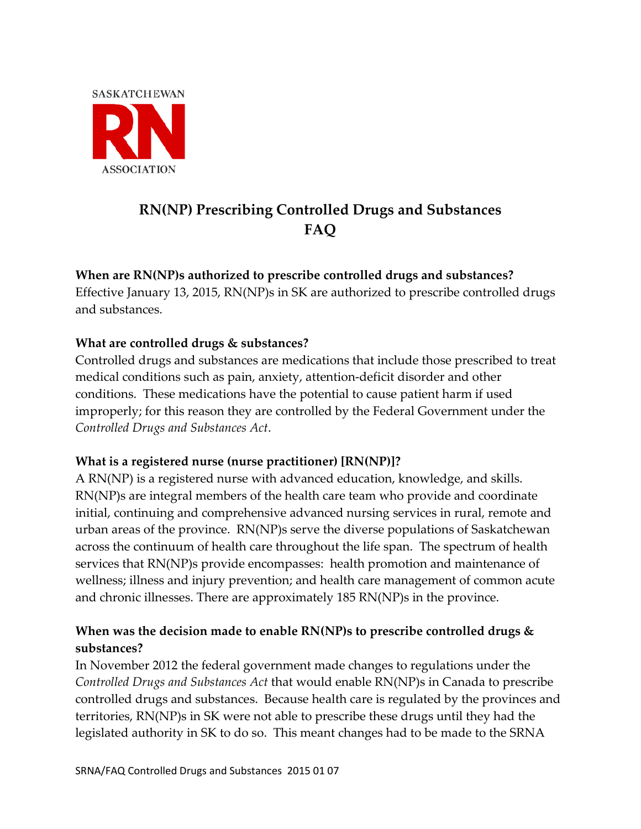

# **RN(NP) Prescribing Controlled Drugs and Substances FAQ**

# **When are RN(NP)s authorized to prescribe controlled drugs and substances?**

Effective January 13, 2015, RN(NP)s in SK are authorized to prescribe controlled drugs and substances.

# **What are controlled drugs & substances?**

Controlled drugs and substances are medications that include those prescribed to treat medical conditions such as pain, anxiety, attention-deficit disorder and other conditions. These medications have the potential to cause patient harm if used improperly; for this reason they are controlled by the Federal Government under the *Controlled Drugs and Substances Act*.

#### **What is a registered nurse (nurse practitioner) [RN(NP)]?**

A RN(NP) is a registered nurse with advanced education, knowledge, and skills. RN(NP)s are integral members of the health care team who provide and coordinate initial, continuing and comprehensive advanced nursing services in rural, remote and urban areas of the province. RN(NP)s serve the diverse populations of Saskatchewan across the continuum of health care throughout the life span. The spectrum of health services that RN(NP)s provide encompasses: health promotion and maintenance of wellness; illness and injury prevention; and health care management of common acute and chronic illnesses. There are approximately 185 RN(NP)s in the province.

# **When was the decision made to enable RN(NP)s to prescribe controlled drugs & substances?**

In November 2012 the federal government made changes to regulations under the *Controlled Drugs and Substances Act* that would enable RN(NP)s in Canada to prescribe controlled drugs and substances. Because health care is regulated by the provinces and territories, RN(NP)s in SK were not able to prescribe these drugs until they had the legislated authority in SK to do so. This meant changes had to be made to the SRNA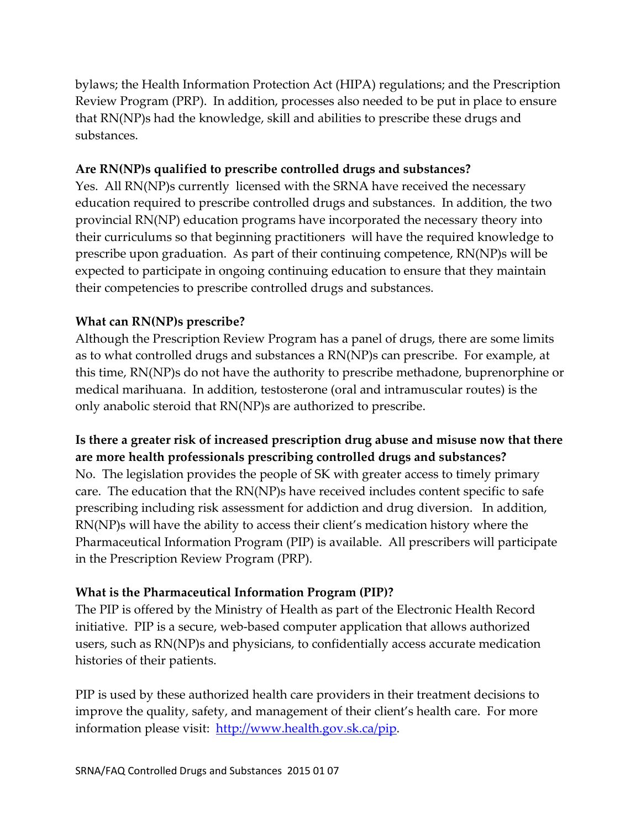bylaws; the Health Information Protection Act (HIPA) regulations; and the Prescription Review Program (PRP). In addition, processes also needed to be put in place to ensure that RN(NP)s had the knowledge, skill and abilities to prescribe these drugs and substances.

#### **Are RN(NP)s qualified to prescribe controlled drugs and substances?**

Yes. All RN(NP)s currently licensed with the SRNA have received the necessary education required to prescribe controlled drugs and substances. In addition, the two provincial RN(NP) education programs have incorporated the necessary theory into their curriculums so that beginning practitioners will have the required knowledge to prescribe upon graduation. As part of their continuing competence, RN(NP)s will be expected to participate in ongoing continuing education to ensure that they maintain their competencies to prescribe controlled drugs and substances.

#### **What can RN(NP)s prescribe?**

Although the Prescription Review Program has a panel of drugs, there are some limits as to what controlled drugs and substances a RN(NP)s can prescribe. For example, at this time, RN(NP)s do not have the authority to prescribe methadone, buprenorphine or medical marihuana. In addition, testosterone (oral and intramuscular routes) is the only anabolic steroid that RN(NP)s are authorized to prescribe.

# **Is there a greater risk of increased prescription drug abuse and misuse now that there are more health professionals prescribing controlled drugs and substances?**

No. The legislation provides the people of SK with greater access to timely primary care. The education that the RN(NP)s have received includes content specific to safe prescribing including risk assessment for addiction and drug diversion. In addition, RN(NP)s will have the ability to access their client's medication history where the Pharmaceutical Information Program (PIP) is available. All prescribers will participate in the Prescription Review Program (PRP).

#### **What is the Pharmaceutical Information Program (PIP)?**

The PIP is offered by the Ministry of Health as part of the Electronic Health Record initiative. PIP is a secure, web-based computer application that allows authorized users, such as RN(NP)s and physicians, to confidentially access accurate medication histories of their patients.

PIP is used by these authorized health care providers in their treatment decisions to improve the quality, safety, and management of their client's health care. For more information please visit: [http://www.health.gov.sk.ca/pip.](http://www.health.gov.sk.ca/pip)